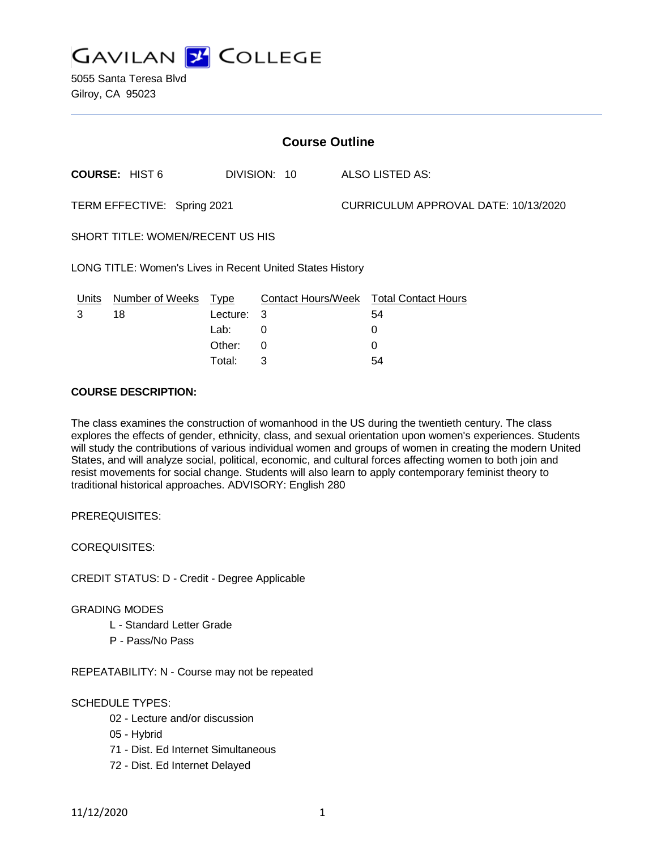

5055 Santa Teresa Blvd Gilroy, CA 95023

| <b>Course Outline</b>                                     |                        |             |              |                                      |                                        |
|-----------------------------------------------------------|------------------------|-------------|--------------|--------------------------------------|----------------------------------------|
|                                                           | <b>COURSE: HIST 6</b>  |             | DIVISION: 10 |                                      | ALSO LISTED AS:                        |
| TERM EFFECTIVE: Spring 2021                               |                        |             |              | CURRICULUM APPROVAL DATE: 10/13/2020 |                                        |
| SHORT TITLE: WOMEN/RECENT US HIS                          |                        |             |              |                                      |                                        |
| LONG TITLE: Women's Lives in Recent United States History |                        |             |              |                                      |                                        |
| <u>Units</u>                                              | <b>Number of Weeks</b> | <u>Type</u> |              |                                      | Contact Hours/Week Total Contact Hours |
| 3                                                         | 18                     | Lecture:    | - 3          |                                      | 54                                     |
|                                                           |                        | Lab:        | 0            |                                      | 0                                      |
|                                                           |                        | Other:      | 0            |                                      | 0                                      |
|                                                           |                        | Total:      | 3            |                                      | 54                                     |

### **COURSE DESCRIPTION:**

The class examines the construction of womanhood in the US during the twentieth century. The class explores the effects of gender, ethnicity, class, and sexual orientation upon women's experiences. Students will study the contributions of various individual women and groups of women in creating the modern United States, and will analyze social, political, economic, and cultural forces affecting women to both join and resist movements for social change. Students will also learn to apply contemporary feminist theory to traditional historical approaches. ADVISORY: English 280

PREREQUISITES:

COREQUISITES:

CREDIT STATUS: D - Credit - Degree Applicable

#### GRADING MODES

- L Standard Letter Grade
- P Pass/No Pass

REPEATABILITY: N - Course may not be repeated

#### SCHEDULE TYPES:

- 02 Lecture and/or discussion
- 05 Hybrid
- 71 Dist. Ed Internet Simultaneous
- 72 Dist. Ed Internet Delayed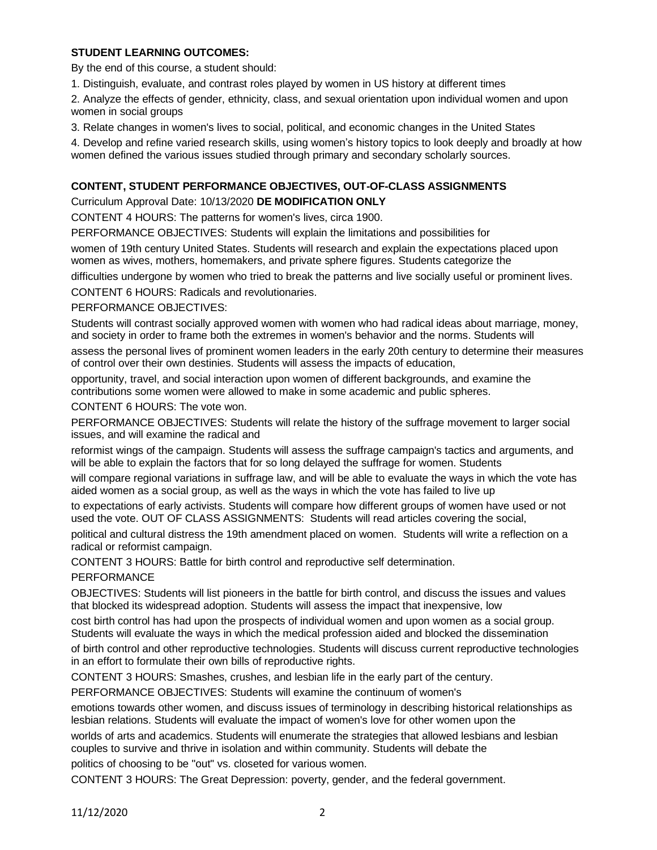# **STUDENT LEARNING OUTCOMES:**

By the end of this course, a student should:

1. Distinguish, evaluate, and contrast roles played by women in US history at different times

2. Analyze the effects of gender, ethnicity, class, and sexual orientation upon individual women and upon women in social groups

3. Relate changes in women's lives to social, political, and economic changes in the United States

4. Develop and refine varied research skills, using women's history topics to look deeply and broadly at how women defined the various issues studied through primary and secondary scholarly sources.

# **CONTENT, STUDENT PERFORMANCE OBJECTIVES, OUT-OF-CLASS ASSIGNMENTS**

## Curriculum Approval Date: 10/13/2020 **DE MODIFICATION ONLY**

CONTENT 4 HOURS: The patterns for women's lives, circa 1900.

PERFORMANCE OBJECTIVES: Students will explain the limitations and possibilities for

women of 19th century United States. Students will research and explain the expectations placed upon women as wives, mothers, homemakers, and private sphere figures. Students categorize the

difficulties undergone by women who tried to break the patterns and live socially useful or prominent lives.

CONTENT 6 HOURS: Radicals and revolutionaries.

## PERFORMANCE OBJECTIVES:

Students will contrast socially approved women with women who had radical ideas about marriage, money, and society in order to frame both the extremes in women's behavior and the norms. Students will

assess the personal lives of prominent women leaders in the early 20th century to determine their measures of control over their own destinies. Students will assess the impacts of education,

opportunity, travel, and social interaction upon women of different backgrounds, and examine the contributions some women were allowed to make in some academic and public spheres.

CONTENT 6 HOURS: The vote won.

PERFORMANCE OBJECTIVES: Students will relate the history of the suffrage movement to larger social issues, and will examine the radical and

reformist wings of the campaign. Students will assess the suffrage campaign's tactics and arguments, and will be able to explain the factors that for so long delayed the suffrage for women. Students

will compare regional variations in suffrage law, and will be able to evaluate the ways in which the vote has aided women as a social group, as well as the ways in which the vote has failed to live up

to expectations of early activists. Students will compare how different groups of women have used or not used the vote. OUT OF CLASS ASSIGNMENTS: Students will read articles covering the social,

political and cultural distress the 19th amendment placed on women. Students will write a reflection on a radical or reformist campaign.

CONTENT 3 HOURS: Battle for birth control and reproductive self determination.

## PERFORMANCE

OBJECTIVES: Students will list pioneers in the battle for birth control, and discuss the issues and values that blocked its widespread adoption. Students will assess the impact that inexpensive, low

cost birth control has had upon the prospects of individual women and upon women as a social group. Students will evaluate the ways in which the medical profession aided and blocked the dissemination

of birth control and other reproductive technologies. Students will discuss current reproductive technologies in an effort to formulate their own bills of reproductive rights.

CONTENT 3 HOURS: Smashes, crushes, and lesbian life in the early part of the century.

PERFORMANCE OBJECTIVES: Students will examine the continuum of women's

emotions towards other women, and discuss issues of terminology in describing historical relationships as lesbian relations. Students will evaluate the impact of women's love for other women upon the

worlds of arts and academics. Students will enumerate the strategies that allowed lesbians and lesbian couples to survive and thrive in isolation and within community. Students will debate the

politics of choosing to be "out" vs. closeted for various women.

CONTENT 3 HOURS: The Great Depression: poverty, gender, and the federal government.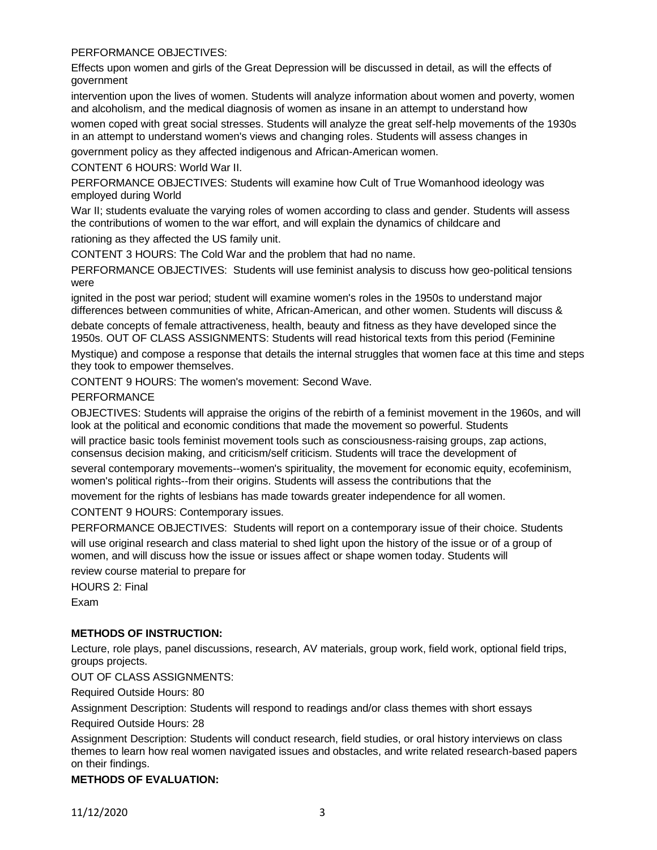## PERFORMANCE OBJECTIVES:

Effects upon women and girls of the Great Depression will be discussed in detail, as will the effects of government

intervention upon the lives of women. Students will analyze information about women and poverty, women and alcoholism, and the medical diagnosis of women as insane in an attempt to understand how

women coped with great social stresses. Students will analyze the great self-help movements of the 1930s in an attempt to understand women's views and changing roles. Students will assess changes in

government policy as they affected indigenous and African-American women.

CONTENT 6 HOURS: World War II.

PERFORMANCE OBJECTIVES: Students will examine how Cult of True Womanhood ideology was employed during World

War II; students evaluate the varying roles of women according to class and gender. Students will assess the contributions of women to the war effort, and will explain the dynamics of childcare and

rationing as they affected the US family unit.

CONTENT 3 HOURS: The Cold War and the problem that had no name.

PERFORMANCE OBJECTIVES: Students will use feminist analysis to discuss how geo-political tensions were

ignited in the post war period; student will examine women's roles in the 1950s to understand major differences between communities of white, African-American, and other women. Students will discuss &

debate concepts of female attractiveness, health, beauty and fitness as they have developed since the 1950s. OUT OF CLASS ASSIGNMENTS: Students will read historical texts from this period (Feminine

Mystique) and compose a response that details the internal struggles that women face at this time and steps they took to empower themselves.

CONTENT 9 HOURS: The women's movement: Second Wave.

PERFORMANCE

OBJECTIVES: Students will appraise the origins of the rebirth of a feminist movement in the 1960s, and will look at the political and economic conditions that made the movement so powerful. Students

will practice basic tools feminist movement tools such as consciousness-raising groups, zap actions, consensus decision making, and criticism/self criticism. Students will trace the development of

several contemporary movements--women's spirituality, the movement for economic equity, ecofeminism, women's political rights--from their origins. Students will assess the contributions that the

movement for the rights of lesbians has made towards greater independence for all women.

CONTENT 9 HOURS: Contemporary issues.

PERFORMANCE OBJECTIVES: Students will report on a contemporary issue of their choice. Students

will use original research and class material to shed light upon the history of the issue or of a group of women, and will discuss how the issue or issues affect or shape women today. Students will

review course material to prepare for

HOURS 2: Final Exam

#### **METHODS OF INSTRUCTION:**

Lecture, role plays, panel discussions, research, AV materials, group work, field work, optional field trips, groups projects.

OUT OF CLASS ASSIGNMENTS:

Required Outside Hours: 80

Assignment Description: Students will respond to readings and/or class themes with short essays

Required Outside Hours: 28

Assignment Description: Students will conduct research, field studies, or oral history interviews on class themes to learn how real women navigated issues and obstacles, and write related research-based papers on their findings.

#### **METHODS OF EVALUATION:**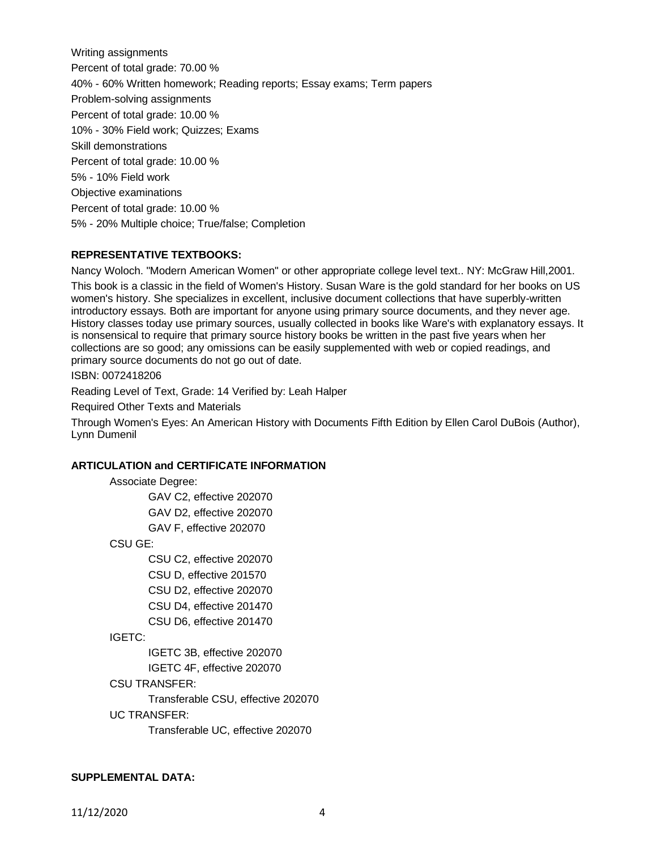Writing assignments Percent of total grade: 70.00 % 40% - 60% Written homework; Reading reports; Essay exams; Term papers Problem-solving assignments Percent of total grade: 10.00 % 10% - 30% Field work; Quizzes; Exams Skill demonstrations Percent of total grade: 10.00 % 5% - 10% Field work Objective examinations Percent of total grade: 10.00 % 5% - 20% Multiple choice; True/false; Completion

### **REPRESENTATIVE TEXTBOOKS:**

Nancy Woloch. "Modern American Women" or other appropriate college level text.. NY: McGraw Hill,2001. This book is a classic in the field of Women's History. Susan Ware is the gold standard for her books on US women's history. She specializes in excellent, inclusive document collections that have superbly-written introductory essays. Both are important for anyone using primary source documents, and they never age. History classes today use primary sources, usually collected in books like Ware's with explanatory essays. It is nonsensical to require that primary source history books be written in the past five years when her collections are so good; any omissions can be easily supplemented with web or copied readings, and primary source documents do not go out of date.

ISBN: 0072418206

Reading Level of Text, Grade: 14 Verified by: Leah Halper

Required Other Texts and Materials

Through Women's Eyes: An American History with Documents Fifth Edition by Ellen Carol DuBois (Author), Lynn Dumenil

## **ARTICULATION and CERTIFICATE INFORMATION**

Associate Degree:

GAV C2, effective 202070 GAV D2, effective 202070

GAV F, effective 202070

CSU GE:

CSU C2, effective 202070 CSU D, effective 201570

CSU D2, effective 202070

CSU D4, effective 201470

CSU D6, effective 201470

#### IGETC:

IGETC 3B, effective 202070 IGETC 4F, effective 202070

#### CSU TRANSFER:

Transferable CSU, effective 202070

#### UC TRANSFER:

Transferable UC, effective 202070

#### **SUPPLEMENTAL DATA:**